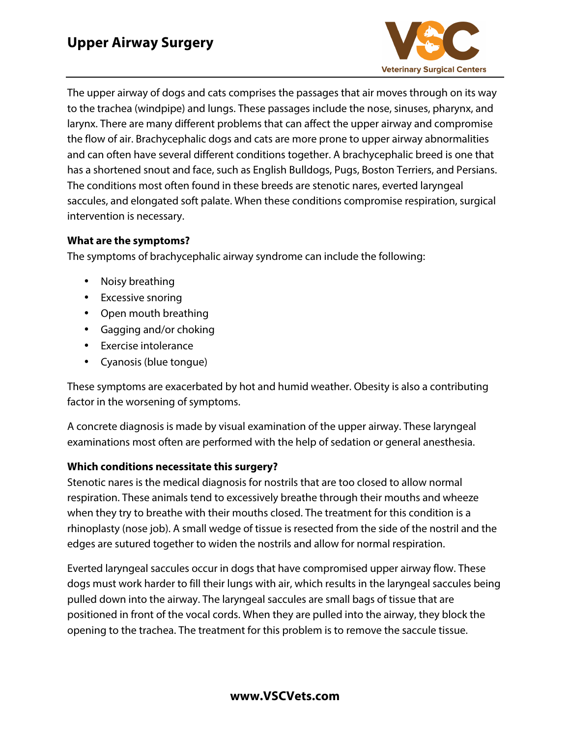

The upper airway of dogs and cats comprises the passages that air moves through on its way to the trachea (windpipe) and lungs. These passages include the nose, sinuses, pharynx, and larynx. There are many different problems that can affect the upper airway and compromise the flow of air. Brachycephalic dogs and cats are more prone to upper airway abnormalities and can often have several different conditions together. A brachycephalic breed is one that has a shortened snout and face, such as English Bulldogs, Pugs, Boston Terriers, and Persians. The conditions most often found in these breeds are stenotic nares, everted laryngeal saccules, and elongated soft palate. When these conditions compromise respiration, surgical intervention is necessary.

## **What are the symptoms?**

The symptoms of brachycephalic airway syndrome can include the following:

- Noisy breathing
- Excessive snoring
- Open mouth breathing
- Gagging and/or choking
- Exercise intolerance
- Cyanosis (blue tongue)

These symptoms are exacerbated by hot and humid weather. Obesity is also a contributing factor in the worsening of symptoms.

A concrete diagnosis is made by visual examination of the upper airway. These laryngeal examinations most often are performed with the help of sedation or general anesthesia.

## **Which conditions necessitate this surgery?**

Stenotic nares is the medical diagnosis for nostrils that are too closed to allow normal respiration. These animals tend to excessively breathe through their mouths and wheeze when they try to breathe with their mouths closed. The treatment for this condition is a rhinoplasty (nose job). A small wedge of tissue is resected from the side of the nostril and the edges are sutured together to widen the nostrils and allow for normal respiration.

Everted laryngeal saccules occur in dogs that have compromised upper airway flow. These dogs must work harder to fill their lungs with air, which results in the laryngeal saccules being pulled down into the airway. The laryngeal saccules are small bags of tissue that are positioned in front of the vocal cords. When they are pulled into the airway, they block the opening to the trachea. The treatment for this problem is to remove the saccule tissue.